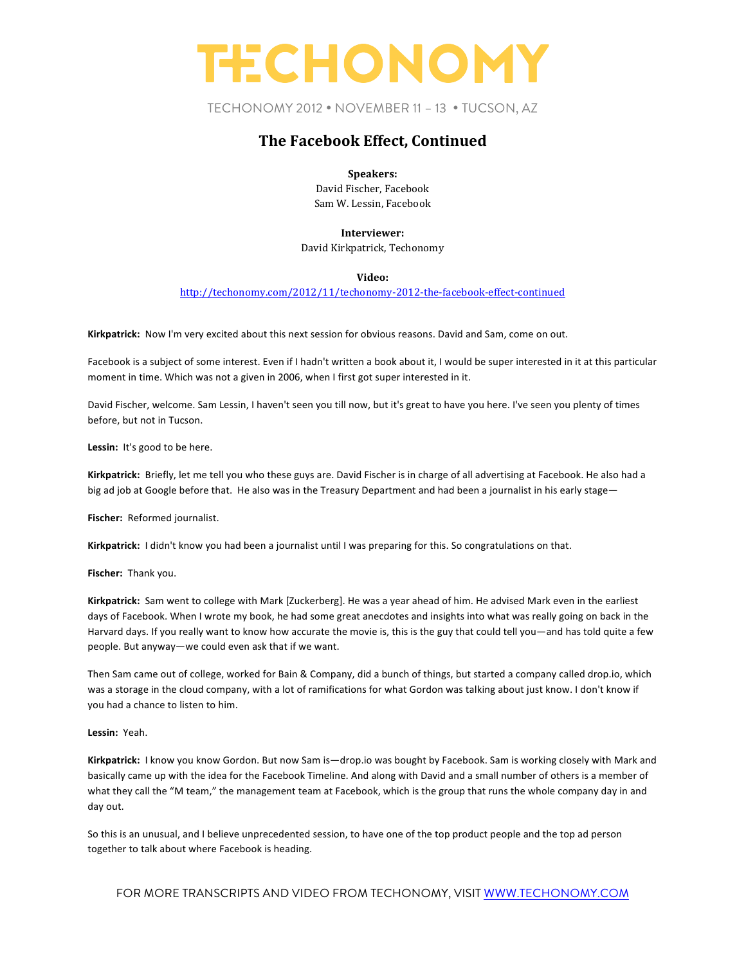

## **The Facebook Effect, Continued**

**Speakers:**

David Fischer, Facebook Sam W. Lessin, Facebook

**Interviewer:**

David Kirkpatrick, Techonomy

#### **Video:**

http://techonomy.com/2012/11/techonomy-2012-the-facebook-effect-continued

Kirkpatrick: Now I'm very excited about this next session for obvious reasons. David and Sam, come on out.

Facebook is a subject of some interest. Even if I hadn't written a book about it, I would be super interested in it at this particular moment in time. Which was not a given in 2006, when I first got super interested in it.

David Fischer, welcome. Sam Lessin, I haven't seen you till now, but it's great to have you here. I've seen you plenty of times before, but not in Tucson.

Lessin: It's good to be here.

Kirkpatrick: Briefly, let me tell you who these guys are. David Fischer is in charge of all advertising at Facebook. He also had a big ad job at Google before that. He also was in the Treasury Department and had been a journalist in his early stage—

Fischer: Reformed journalist.

**Kirkpatrick:** I didn't know you had been a journalist until I was preparing for this. So congratulations on that.

**Fischer:** Thank you.

Kirkpatrick: Sam went to college with Mark [Zuckerberg]. He was a year ahead of him. He advised Mark even in the earliest days of Facebook. When I wrote my book, he had some great anecdotes and insights into what was really going on back in the Harvard days. If you really want to know how accurate the movie is, this is the guy that could tell you—and has told quite a few people. But anyway—we could even ask that if we want.

Then Sam came out of college, worked for Bain & Company, did a bunch of things, but started a company called drop.io, which was a storage in the cloud company, with a lot of ramifications for what Gordon was talking about just know. I don't know if you had a chance to listen to him.

#### **Lessin:**  Yeah.

Kirkpatrick: I know you know Gordon. But now Sam is-drop.io was bought by Facebook. Sam is working closely with Mark and basically came up with the idea for the Facebook Timeline. And along with David and a small number of others is a member of what they call the "M team," the management team at Facebook, which is the group that runs the whole company day in and day out.

So this is an unusual, and I believe unprecedented session, to have one of the top product people and the top ad person together to talk about where Facebook is heading.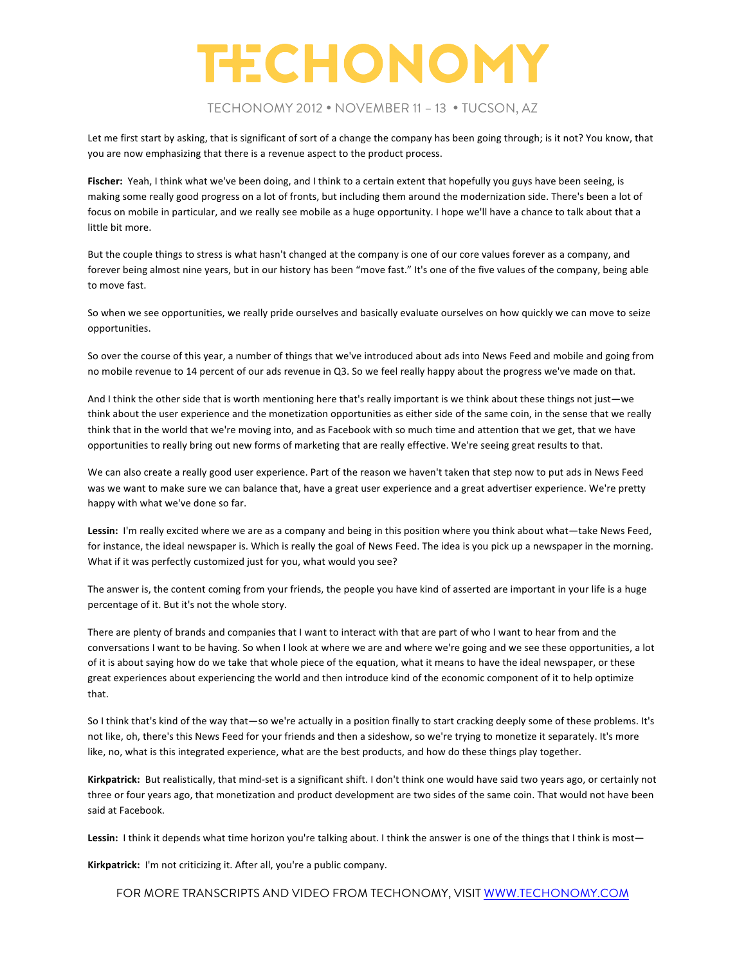## TECHONOMY 2012 • NOVEMBER 11 – 13 • TUCSON, AZ

Let me first start by asking, that is significant of sort of a change the company has been going through; is it not? You know, that you are now emphasizing that there is a revenue aspect to the product process.

Fischer: Yeah, I think what we've been doing, and I think to a certain extent that hopefully you guys have been seeing, is making some really good progress on a lot of fronts, but including them around the modernization side. There's been a lot of focus on mobile in particular, and we really see mobile as a huge opportunity. I hope we'll have a chance to talk about that a little bit more.

But the couple things to stress is what hasn't changed at the company is one of our core values forever as a company, and forever being almost nine years, but in our history has been "move fast." It's one of the five values of the company, being able to move fast.

So when we see opportunities, we really pride ourselves and basically evaluate ourselves on how quickly we can move to seize opportunities.

So over the course of this year, a number of things that we've introduced about ads into News Feed and mobile and going from no mobile revenue to 14 percent of our ads revenue in Q3. So we feel really happy about the progress we've made on that.

And I think the other side that is worth mentioning here that's really important is we think about these things not just—we think about the user experience and the monetization opportunities as either side of the same coin, in the sense that we really think that in the world that we're moving into, and as Facebook with so much time and attention that we get, that we have opportunities to really bring out new forms of marketing that are really effective. We're seeing great results to that.

We can also create a really good user experience. Part of the reason we haven't taken that step now to put ads in News Feed was we want to make sure we can balance that, have a great user experience and a great advertiser experience. We're pretty happy with what we've done so far.

Lessin: I'm really excited where we are as a company and being in this position where you think about what—take News Feed, for instance, the ideal newspaper is. Which is really the goal of News Feed. The idea is you pick up a newspaper in the morning. What if it was perfectly customized just for you, what would you see?

The answer is, the content coming from your friends, the people you have kind of asserted are important in your life is a huge percentage of it. But it's not the whole story.

There are plenty of brands and companies that I want to interact with that are part of who I want to hear from and the conversations I want to be having. So when I look at where we are and where we're going and we see these opportunities, a lot of it is about saying how do we take that whole piece of the equation, what it means to have the ideal newspaper, or these great experiences about experiencing the world and then introduce kind of the economic component of it to help optimize that.

So I think that's kind of the way that—so we're actually in a position finally to start cracking deeply some of these problems. It's not like, oh, there's this News Feed for your friends and then a sideshow, so we're trying to monetize it separately. It's more like, no, what is this integrated experience, what are the best products, and how do these things play together.

**Kirkpatrick:** But realistically, that mind-set is a significant shift. I don't think one would have said two years ago, or certainly not three or four years ago, that monetization and product development are two sides of the same coin. That would not have been said at Facebook.

Lessin: I think it depends what time horizon you're talking about. I think the answer is one of the things that I think is most—

Kirkpatrick: I'm not criticizing it. After all, you're a public company.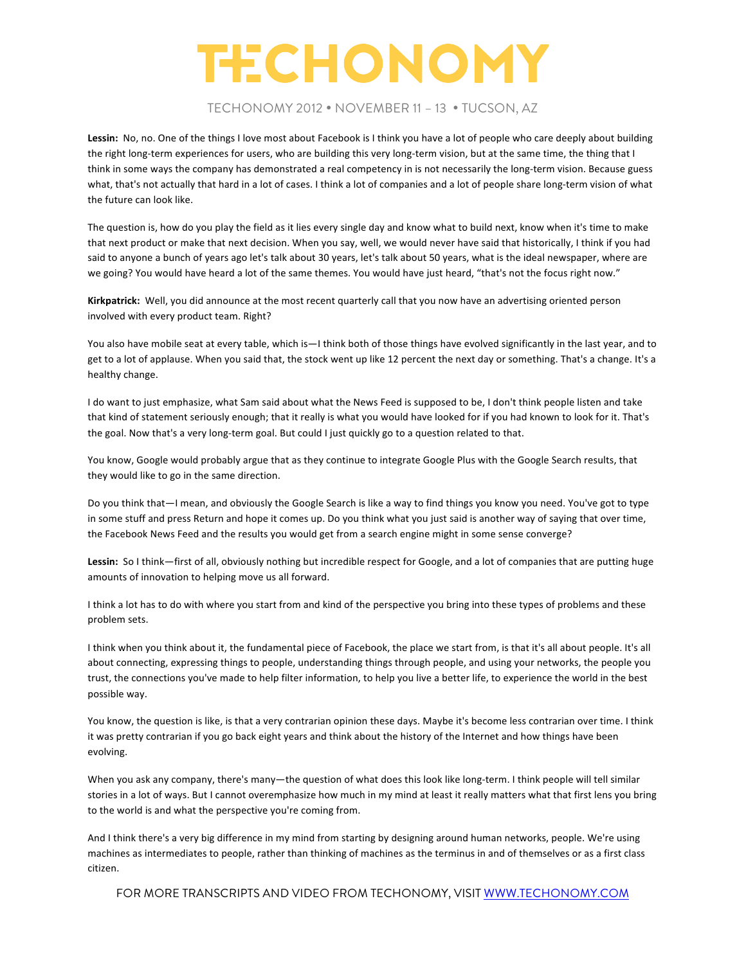## TECHONOMY 2012 • NOVEMBER 11 – 13 • TUCSON, AZ

Lessin: No, no. One of the things I love most about Facebook is I think you have a lot of people who care deeply about building the right long-term experiences for users, who are building this very long-term vision, but at the same time, the thing that I think in some ways the company has demonstrated a real competency in is not necessarily the long-term vision. Because guess what, that's not actually that hard in a lot of cases. I think a lot of companies and a lot of people share long-term vision of what the future can look like.

The question is, how do you play the field as it lies every single day and know what to build next, know when it's time to make that next product or make that next decision. When you say, well, we would never have said that historically, I think if you had said to anyone a bunch of years ago let's talk about 30 years, let's talk about 50 years, what is the ideal newspaper, where are we going? You would have heard a lot of the same themes. You would have just heard, "that's not the focus right now."

Kirkpatrick: Well, you did announce at the most recent quarterly call that you now have an advertising oriented person involved with every product team. Right?

You also have mobile seat at every table, which is—I think both of those things have evolved significantly in the last year, and to get to a lot of applause. When you said that, the stock went up like 12 percent the next day or something. That's a change. It's a healthy change.

I do want to just emphasize, what Sam said about what the News Feed is supposed to be, I don't think people listen and take that kind of statement seriously enough; that it really is what you would have looked for if you had known to look for it. That's the goal. Now that's a very long-term goal. But could I just quickly go to a question related to that.

You know, Google would probably argue that as they continue to integrate Google Plus with the Google Search results, that they would like to go in the same direction.

Do you think that—I mean, and obviously the Google Search is like a way to find things you know you need. You've got to type in some stuff and press Return and hope it comes up. Do you think what you just said is another way of saying that over time, the Facebook News Feed and the results you would get from a search engine might in some sense converge?

Lessin: So I think—first of all, obviously nothing but incredible respect for Google, and a lot of companies that are putting huge amounts of innovation to helping move us all forward.

I think a lot has to do with where you start from and kind of the perspective you bring into these types of problems and these problem sets.

I think when you think about it, the fundamental piece of Facebook, the place we start from, is that it's all about people. It's all about connecting, expressing things to people, understanding things through people, and using your networks, the people you trust, the connections you've made to help filter information, to help you live a better life, to experience the world in the best possible way.

You know, the question is like, is that a very contrarian opinion these days. Maybe it's become less contrarian over time. I think it was pretty contrarian if you go back eight years and think about the history of the Internet and how things have been evolving. 

When you ask any company, there's many—the question of what does this look like long-term. I think people will tell similar stories in a lot of ways. But I cannot overemphasize how much in my mind at least it really matters what that first lens you bring to the world is and what the perspective you're coming from.

And I think there's a very big difference in my mind from starting by designing around human networks, people. We're using machines as intermediates to people, rather than thinking of machines as the terminus in and of themselves or as a first class citizen.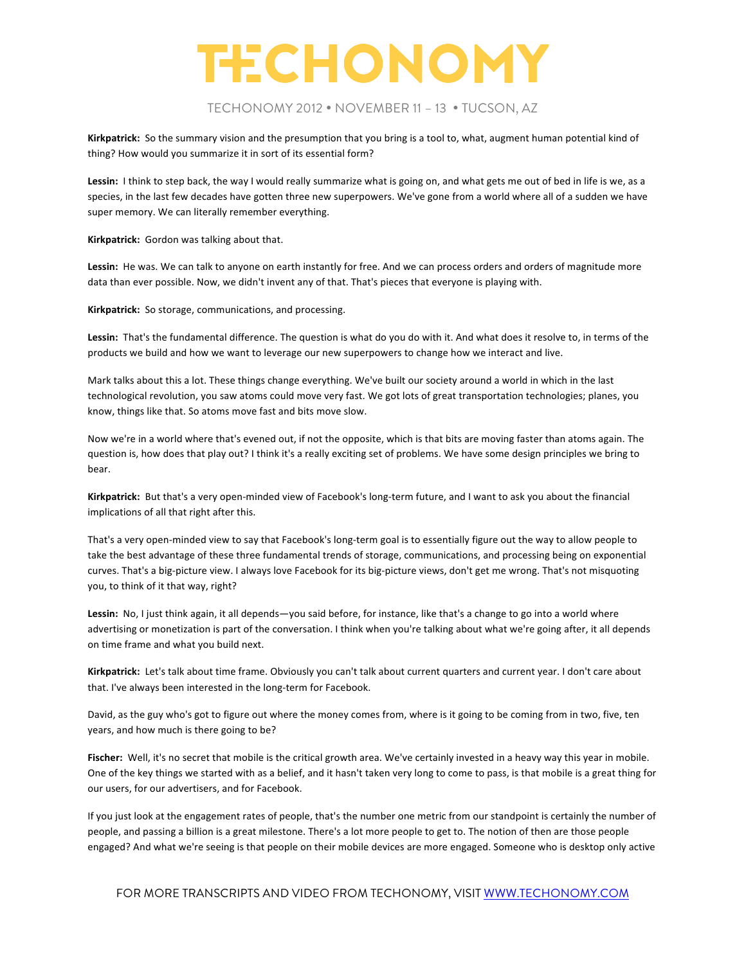

**Kirkpatrick:** So the summary vision and the presumption that you bring is a tool to, what, augment human potential kind of thing? How would you summarize it in sort of its essential form?

Lessin: I think to step back, the way I would really summarize what is going on, and what gets me out of bed in life is we, as a species, in the last few decades have gotten three new superpowers. We've gone from a world where all of a sudden we have super memory. We can literally remember everything.

Kirkpatrick: Gordon was talking about that.

Lessin: He was. We can talk to anyone on earth instantly for free. And we can process orders and orders of magnitude more data than ever possible. Now, we didn't invent any of that. That's pieces that everyone is playing with.

**Kirkpatrick:** So storage, communications, and processing.

Lessin: That's the fundamental difference. The question is what do you do with it. And what does it resolve to, in terms of the products we build and how we want to leverage our new superpowers to change how we interact and live.

Mark talks about this a lot. These things change everything. We've built our society around a world in which in the last technological revolution, you saw atoms could move very fast. We got lots of great transportation technologies; planes, you know, things like that. So atoms move fast and bits move slow.

Now we're in a world where that's evened out, if not the opposite, which is that bits are moving faster than atoms again. The question is, how does that play out? I think it's a really exciting set of problems. We have some design principles we bring to bear. 

Kirkpatrick: But that's a very open-minded view of Facebook's long-term future, and I want to ask you about the financial implications of all that right after this.

That's a very open-minded view to say that Facebook's long-term goal is to essentially figure out the way to allow people to take the best advantage of these three fundamental trends of storage, communications, and processing being on exponential curves. That's a big-picture view. I always love Facebook for its big-picture views, don't get me wrong. That's not misquoting you, to think of it that way, right?

Lessin: No, I just think again, it all depends—you said before, for instance, like that's a change to go into a world where advertising or monetization is part of the conversation. I think when you're talking about what we're going after, it all depends on time frame and what you build next.

Kirkpatrick: Let's talk about time frame. Obviously you can't talk about current quarters and current year. I don't care about that. I've always been interested in the long-term for Facebook.

David, as the guy who's got to figure out where the money comes from, where is it going to be coming from in two, five, ten years, and how much is there going to be?

Fischer: Well, it's no secret that mobile is the critical growth area. We've certainly invested in a heavy way this year in mobile. One of the key things we started with as a belief, and it hasn't taken very long to come to pass, is that mobile is a great thing for our users, for our advertisers, and for Facebook.

If you just look at the engagement rates of people, that's the number one metric from our standpoint is certainly the number of people, and passing a billion is a great milestone. There's a lot more people to get to. The notion of then are those people engaged? And what we're seeing is that people on their mobile devices are more engaged. Someone who is desktop only active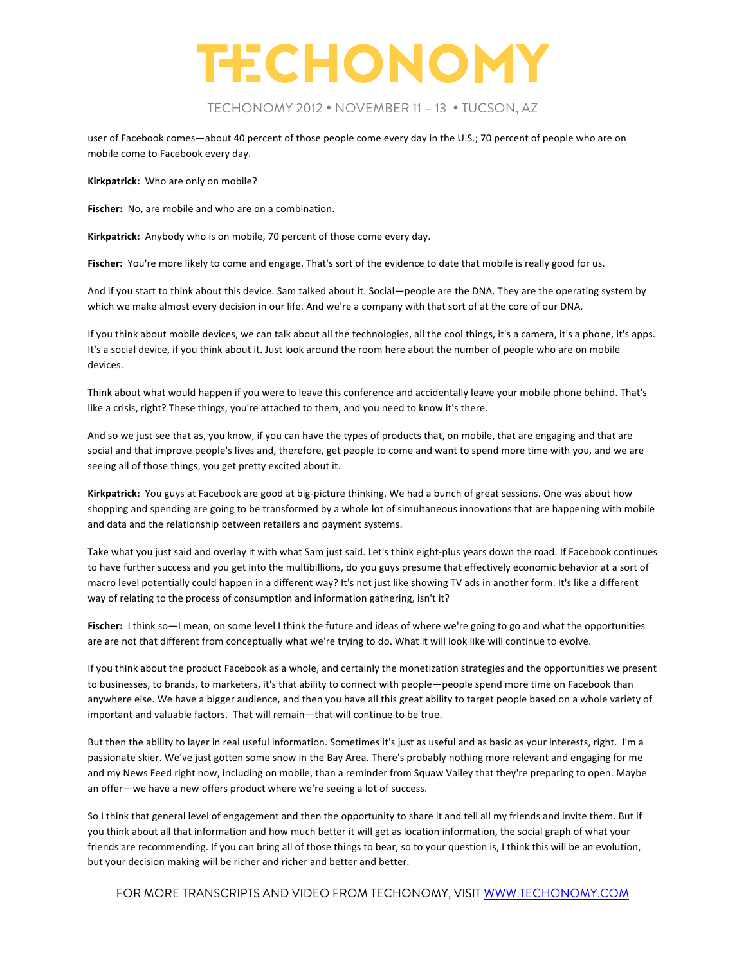

user of Facebook comes—about 40 percent of those people come every day in the U.S.; 70 percent of people who are on mobile come to Facebook every day.

**Kirkpatrick:** Who are only on mobile?

Fischer: No, are mobile and who are on a combination.

Kirkpatrick: Anybody who is on mobile, 70 percent of those come every day.

**Fischer:** You're more likely to come and engage. That's sort of the evidence to date that mobile is really good for us.

And if you start to think about this device. Sam talked about it. Social—people are the DNA. They are the operating system by which we make almost every decision in our life. And we're a company with that sort of at the core of our DNA.

If you think about mobile devices, we can talk about all the technologies, all the cool things, it's a camera, it's a phone, it's apps. It's a social device, if you think about it. Just look around the room here about the number of people who are on mobile devices. 

Think about what would happen if you were to leave this conference and accidentally leave your mobile phone behind. That's like a crisis, right? These things, you're attached to them, and you need to know it's there.

And so we just see that as, you know, if you can have the types of products that, on mobile, that are engaging and that are social and that improve people's lives and, therefore, get people to come and want to spend more time with you, and we are seeing all of those things, you get pretty excited about it.

Kirkpatrick: You guys at Facebook are good at big-picture thinking. We had a bunch of great sessions. One was about how shopping and spending are going to be transformed by a whole lot of simultaneous innovations that are happening with mobile and data and the relationship between retailers and payment systems.

Take what you just said and overlay it with what Sam just said. Let's think eight-plus years down the road. If Facebook continues to have further success and you get into the multibillions, do you guys presume that effectively economic behavior at a sort of macro level potentially could happen in a different way? It's not just like showing TV ads in another form. It's like a different way of relating to the process of consumption and information gathering, isn't it?

**Fischer:** I think so—I mean, on some level I think the future and ideas of where we're going to go and what the opportunities are are not that different from conceptually what we're trying to do. What it will look like will continue to evolve.

If you think about the product Facebook as a whole, and certainly the monetization strategies and the opportunities we present to businesses, to brands, to marketers, it's that ability to connect with people—people spend more time on Facebook than anywhere else. We have a bigger audience, and then you have all this great ability to target people based on a whole variety of important and valuable factors. That will remain—that will continue to be true.

But then the ability to layer in real useful information. Sometimes it's just as useful and as basic as your interests, right. I'm a passionate skier. We've just gotten some snow in the Bay Area. There's probably nothing more relevant and engaging for me and my News Feed right now, including on mobile, than a reminder from Squaw Valley that they're preparing to open. Maybe an offer—we have a new offers product where we're seeing a lot of success.

So I think that general level of engagement and then the opportunity to share it and tell all my friends and invite them. But if you think about all that information and how much better it will get as location information, the social graph of what your friends are recommending. If you can bring all of those things to bear, so to your question is, I think this will be an evolution, but your decision making will be richer and richer and better and better.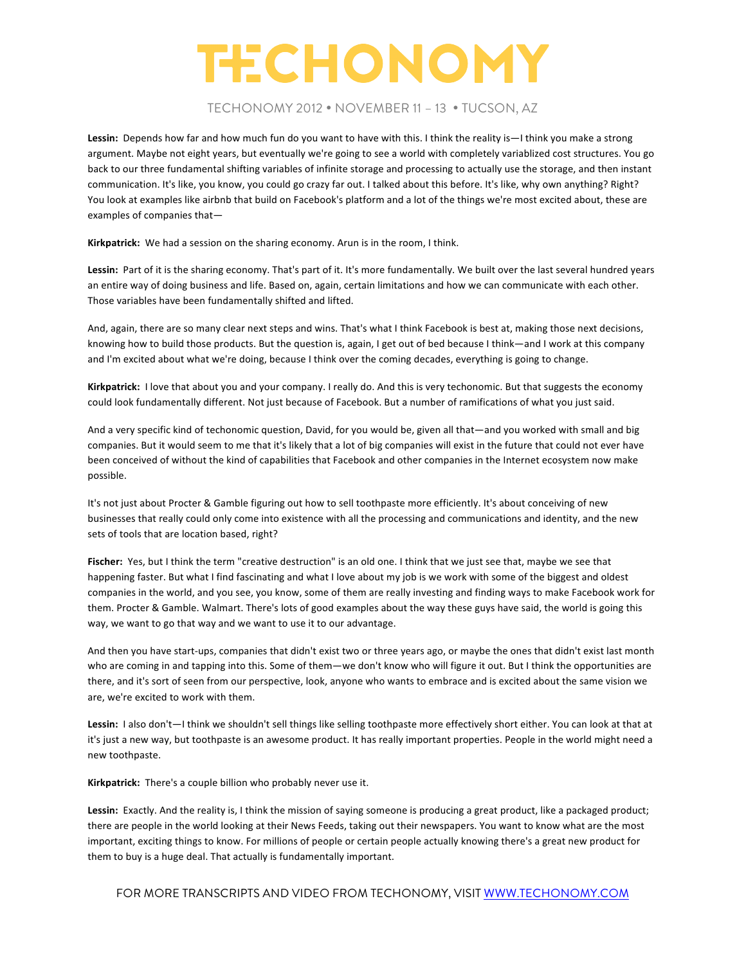### TECHONOMY 2012 • NOVEMBER 11 – 13 • TUCSON, AZ

Lessin: Depends how far and how much fun do you want to have with this. I think the reality is—I think you make a strong argument. Maybe not eight years, but eventually we're going to see a world with completely variablized cost structures. You go back to our three fundamental shifting variables of infinite storage and processing to actually use the storage, and then instant communication. It's like, you know, you could go crazy far out. I talked about this before. It's like, why own anything? Right? You look at examples like airbnb that build on Facebook's platform and a lot of the things we're most excited about, these are examples of companies that-

**Kirkpatrick:** We had a session on the sharing economy. Arun is in the room, I think.

Lessin: Part of it is the sharing economy. That's part of it. It's more fundamentally. We built over the last several hundred years an entire way of doing business and life. Based on, again, certain limitations and how we can communicate with each other. Those variables have been fundamentally shifted and lifted.

And, again, there are so many clear next steps and wins. That's what I think Facebook is best at, making those next decisions, knowing how to build those products. But the question is, again, I get out of bed because I think—and I work at this company and I'm excited about what we're doing, because I think over the coming decades, everything is going to change.

Kirkpatrick: I love that about you and your company. I really do. And this is very techonomic. But that suggests the economy could look fundamentally different. Not just because of Facebook. But a number of ramifications of what you just said.

And a very specific kind of techonomic question, David, for you would be, given all that—and you worked with small and big companies. But it would seem to me that it's likely that a lot of big companies will exist in the future that could not ever have been conceived of without the kind of capabilities that Facebook and other companies in the Internet ecosystem now make possible. 

It's not just about Procter & Gamble figuring out how to sell toothpaste more efficiently. It's about conceiving of new businesses that really could only come into existence with all the processing and communications and identity, and the new sets of tools that are location based, right?

Fischer: Yes, but I think the term "creative destruction" is an old one. I think that we just see that, maybe we see that happening faster. But what I find fascinating and what I love about my job is we work with some of the biggest and oldest companies in the world, and you see, you know, some of them are really investing and finding ways to make Facebook work for them. Procter & Gamble. Walmart. There's lots of good examples about the way these guys have said, the world is going this way, we want to go that way and we want to use it to our advantage.

And then you have start-ups, companies that didn't exist two or three years ago, or maybe the ones that didn't exist last month who are coming in and tapping into this. Some of them—we don't know who will figure it out. But I think the opportunities are there, and it's sort of seen from our perspective, look, anyone who wants to embrace and is excited about the same vision we are, we're excited to work with them.

Lessin: I also don't-I think we shouldn't sell things like selling toothpaste more effectively short either. You can look at that at it's just a new way, but toothpaste is an awesome product. It has really important properties. People in the world might need a new toothpaste.

Kirkpatrick: There's a couple billion who probably never use it.

Lessin: Exactly. And the reality is, I think the mission of saying someone is producing a great product, like a packaged product; there are people in the world looking at their News Feeds, taking out their newspapers. You want to know what are the most important, exciting things to know. For millions of people or certain people actually knowing there's a great new product for them to buy is a huge deal. That actually is fundamentally important.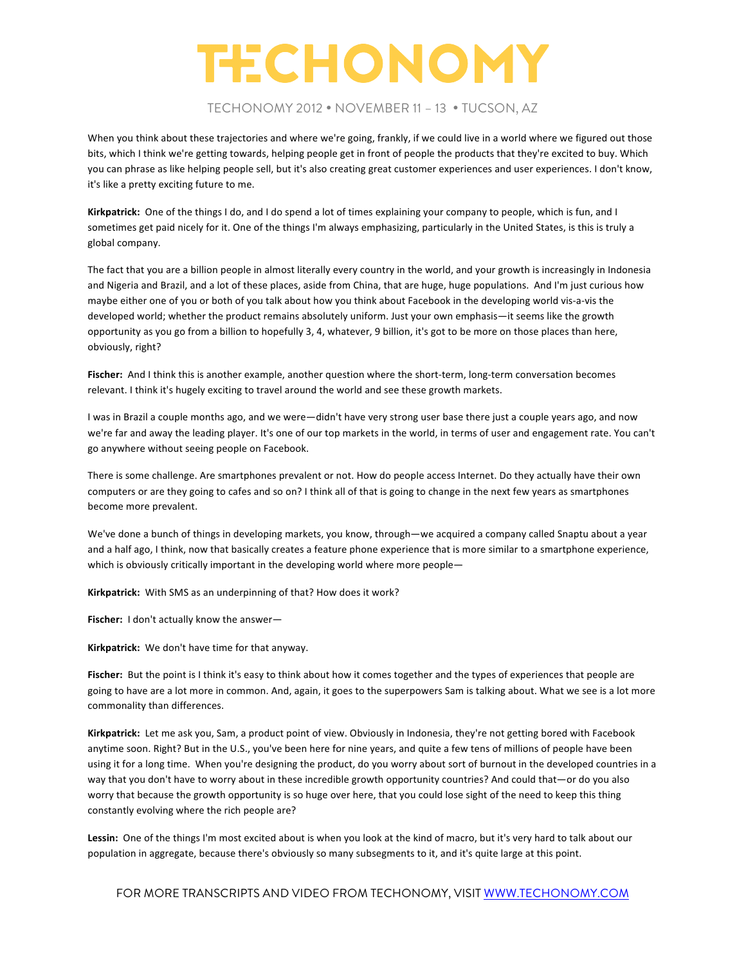### TECHONOMY 2012 • NOVEMBER 11 – 13 • TUCSON, AZ

When you think about these trajectories and where we're going, frankly, if we could live in a world where we figured out those bits, which I think we're getting towards, helping people get in front of people the products that they're excited to buy. Which you can phrase as like helping people sell, but it's also creating great customer experiences and user experiences. I don't know, it's like a pretty exciting future to me.

**Kirkpatrick:** One of the things I do, and I do spend a lot of times explaining your company to people, which is fun, and I sometimes get paid nicely for it. One of the things I'm always emphasizing, particularly in the United States, is this is truly a global company.

The fact that you are a billion people in almost literally every country in the world, and your growth is increasingly in Indonesia and Nigeria and Brazil, and a lot of these places, aside from China, that are huge, huge populations. And I'm just curious how maybe either one of you or both of you talk about how you think about Facebook in the developing world vis-a-vis the developed world; whether the product remains absolutely uniform. Just your own emphasis—it seems like the growth opportunity as you go from a billion to hopefully 3, 4, whatever, 9 billion, it's got to be more on those places than here, obviously, right?

Fischer: And I think this is another example, another question where the short-term, long-term conversation becomes relevant. I think it's hugely exciting to travel around the world and see these growth markets.

I was in Brazil a couple months ago, and we were—didn't have very strong user base there just a couple years ago, and now we're far and away the leading player. It's one of our top markets in the world, in terms of user and engagement rate. You can't go anywhere without seeing people on Facebook.

There is some challenge. Are smartphones prevalent or not. How do people access Internet. Do they actually have their own computers or are they going to cafes and so on? I think all of that is going to change in the next few years as smartphones become more prevalent.

We've done a bunch of things in developing markets, you know, through—we acquired a company called Snaptu about a year and a half ago, I think, now that basically creates a feature phone experience that is more similar to a smartphone experience, which is obviously critically important in the developing world where more people—

Kirkpatrick: With SMS as an underpinning of that? How does it work?

**Fischer:** I don't actually know the answer-

**Kirkpatrick:** We don't have time for that anyway.

Fischer: But the point is I think it's easy to think about how it comes together and the types of experiences that people are going to have are a lot more in common. And, again, it goes to the superpowers Sam is talking about. What we see is a lot more commonality than differences.

Kirkpatrick: Let me ask you, Sam, a product point of view. Obviously in Indonesia, they're not getting bored with Facebook anytime soon. Right? But in the U.S., you've been here for nine years, and quite a few tens of millions of people have been using it for a long time. When you're designing the product, do you worry about sort of burnout in the developed countries in a way that you don't have to worry about in these incredible growth opportunity countries? And could that—or do you also worry that because the growth opportunity is so huge over here, that you could lose sight of the need to keep this thing constantly evolving where the rich people are?

Lessin: One of the things I'm most excited about is when you look at the kind of macro, but it's very hard to talk about our population in aggregate, because there's obviously so many subsegments to it, and it's quite large at this point.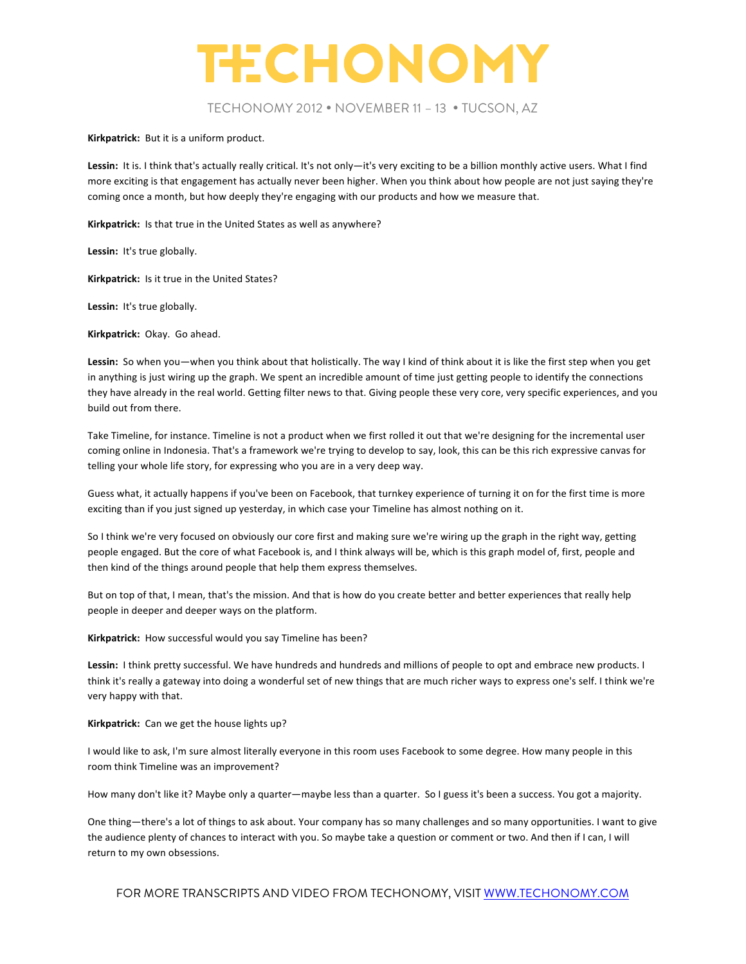### TECHONOMY 2012 • NOVEMBER 11 – 13 • TUCSON, AZ

#### **Kirkpatrick:** But it is a uniform product.

Lessin: It is. I think that's actually really critical. It's not only—it's very exciting to be a billion monthly active users. What I find more exciting is that engagement has actually never been higher. When you think about how people are not just saying they're coming once a month, but how deeply they're engaging with our products and how we measure that.

Kirkpatrick: Is that true in the United States as well as anywhere?

Lessin: It's true globally.

Kirkpatrick: Is it true in the United States?

Lessin: It's true globally.

Kirkpatrick: Okay. Go ahead.

Lessin: So when you—when you think about that holistically. The way I kind of think about it is like the first step when you get in anything is just wiring up the graph. We spent an incredible amount of time just getting people to identify the connections they have already in the real world. Getting filter news to that. Giving people these very core, very specific experiences, and you build out from there.

Take Timeline, for instance. Timeline is not a product when we first rolled it out that we're designing for the incremental user coming online in Indonesia. That's a framework we're trying to develop to say, look, this can be this rich expressive canvas for telling your whole life story, for expressing who you are in a very deep way.

Guess what, it actually happens if you've been on Facebook, that turnkey experience of turning it on for the first time is more exciting than if you just signed up yesterday, in which case your Timeline has almost nothing on it.

So I think we're very focused on obviously our core first and making sure we're wiring up the graph in the right way, getting people engaged. But the core of what Facebook is, and I think always will be, which is this graph model of, first, people and then kind of the things around people that help them express themselves.

But on top of that, I mean, that's the mission. And that is how do you create better and better experiences that really help people in deeper and deeper ways on the platform.

**Kirkpatrick:** How successful would you say Timeline has been?

Lessin: I think pretty successful. We have hundreds and hundreds and millions of people to opt and embrace new products. I think it's really a gateway into doing a wonderful set of new things that are much richer ways to express one's self. I think we're very happy with that.

Kirkpatrick: Can we get the house lights up?

I would like to ask, I'm sure almost literally everyone in this room uses Facebook to some degree. How many people in this room think Timeline was an improvement?

How many don't like it? Maybe only a quarter—maybe less than a quarter. So I guess it's been a success. You got a majority.

One thing—there's a lot of things to ask about. Your company has so many challenges and so many opportunities. I want to give the audience plenty of chances to interact with you. So maybe take a question or comment or two. And then if I can, I will return to my own obsessions.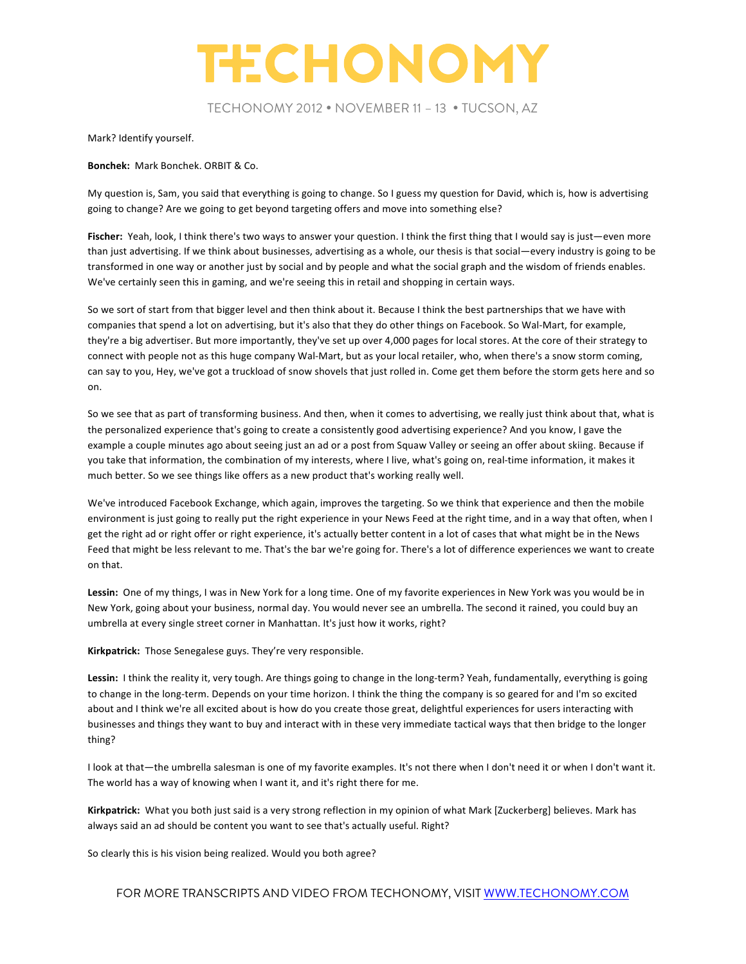

Mark? Identify yourself.

**Bonchek:** Mark Bonchek. ORBIT & Co.

My question is, Sam, you said that everything is going to change. So I guess my question for David, which is, how is advertising going to change? Are we going to get beyond targeting offers and move into something else?

**Fischer:** Yeah, look, I think there's two ways to answer your question. I think the first thing that I would say is just—even more than just advertising. If we think about businesses, advertising as a whole, our thesis is that social—every industry is going to be transformed in one way or another just by social and by people and what the social graph and the wisdom of friends enables. We've certainly seen this in gaming, and we're seeing this in retail and shopping in certain ways.

So we sort of start from that bigger level and then think about it. Because I think the best partnerships that we have with companies that spend a lot on advertising, but it's also that they do other things on Facebook. So Wal-Mart, for example, they're a big advertiser. But more importantly, they've set up over 4,000 pages for local stores. At the core of their strategy to connect with people not as this huge company Wal-Mart, but as your local retailer, who, when there's a snow storm coming, can say to you, Hey, we've got a truckload of snow shovels that just rolled in. Come get them before the storm gets here and so on. 

So we see that as part of transforming business. And then, when it comes to advertising, we really just think about that, what is the personalized experience that's going to create a consistently good advertising experience? And you know, I gave the example a couple minutes ago about seeing just an ad or a post from Squaw Valley or seeing an offer about skiing. Because if you take that information, the combination of my interests, where I live, what's going on, real-time information, it makes it much better. So we see things like offers as a new product that's working really well.

We've introduced Facebook Exchange, which again, improves the targeting. So we think that experience and then the mobile environment is just going to really put the right experience in your News Feed at the right time, and in a way that often, when I get the right ad or right offer or right experience, it's actually better content in a lot of cases that what might be in the News Feed that might be less relevant to me. That's the bar we're going for. There's a lot of difference experiences we want to create on that.

Lessin: One of my things, I was in New York for a long time. One of my favorite experiences in New York was you would be in New York, going about your business, normal day. You would never see an umbrella. The second it rained, you could buy an umbrella at every single street corner in Manhattan. It's just how it works, right?

Kirkpatrick: Those Senegalese guys. They're very responsible.

Lessin: I think the reality it, very tough. Are things going to change in the long-term? Yeah, fundamentally, everything is going to change in the long-term. Depends on your time horizon. I think the thing the company is so geared for and I'm so excited about and I think we're all excited about is how do you create those great, delightful experiences for users interacting with businesses and things they want to buy and interact with in these very immediate tactical ways that then bridge to the longer thing? 

I look at that—the umbrella salesman is one of my favorite examples. It's not there when I don't need it or when I don't want it. The world has a way of knowing when I want it, and it's right there for me.

Kirkpatrick: What you both just said is a very strong reflection in my opinion of what Mark [Zuckerberg] believes. Mark has always said an ad should be content you want to see that's actually useful. Right?

So clearly this is his vision being realized. Would you both agree?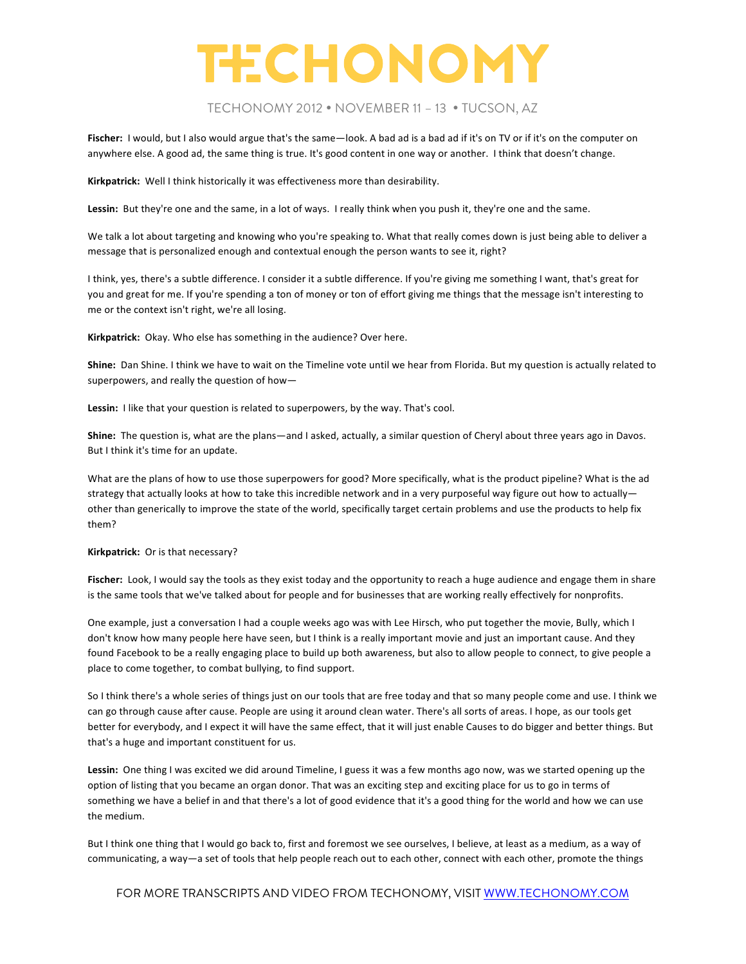

Fischer: I would, but I also would argue that's the same—look. A bad ad is a bad ad if it's on TV or if it's on the computer on anywhere else. A good ad, the same thing is true. It's good content in one way or another. I think that doesn't change.

Kirkpatrick: Well I think historically it was effectiveness more than desirability.

Lessin: But they're one and the same, in a lot of ways. I really think when you push it, they're one and the same.

We talk a lot about targeting and knowing who you're speaking to. What that really comes down is just being able to deliver a message that is personalized enough and contextual enough the person wants to see it, right?

I think, yes, there's a subtle difference. I consider it a subtle difference. If you're giving me something I want, that's great for you and great for me. If you're spending a ton of money or ton of effort giving me things that the message isn't interesting to me or the context isn't right, we're all losing.

**Kirkpatrick:** Okay. Who else has something in the audience? Over here.

**Shine:** Dan Shine. I think we have to wait on the Timeline vote until we hear from Florida. But my question is actually related to superpowers, and really the question of how-

Lessin: I like that your question is related to superpowers, by the way. That's cool.

**Shine:** The question is, what are the plans—and I asked, actually, a similar question of Cheryl about three years ago in Davos. But I think it's time for an update.

What are the plans of how to use those superpowers for good? More specifically, what is the product pipeline? What is the ad strategy that actually looks at how to take this incredible network and in a very purposeful way figure out how to actuallyother than generically to improve the state of the world, specifically target certain problems and use the products to help fix them?

#### **Kirkpatrick:** Or is that necessary?

Fischer: Look, I would say the tools as they exist today and the opportunity to reach a huge audience and engage them in share is the same tools that we've talked about for people and for businesses that are working really effectively for nonprofits.

One example, just a conversation I had a couple weeks ago was with Lee Hirsch, who put together the movie, Bully, which I don't know how many people here have seen, but I think is a really important movie and just an important cause. And they found Facebook to be a really engaging place to build up both awareness, but also to allow people to connect, to give people a place to come together, to combat bullying, to find support.

So I think there's a whole series of things just on our tools that are free today and that so many people come and use. I think we can go through cause after cause. People are using it around clean water. There's all sorts of areas. I hope, as our tools get better for everybody, and I expect it will have the same effect, that it will just enable Causes to do bigger and better things. But that's a huge and important constituent for us.

Lessin: One thing I was excited we did around Timeline, I guess it was a few months ago now, was we started opening up the option of listing that you became an organ donor. That was an exciting step and exciting place for us to go in terms of something we have a belief in and that there's a lot of good evidence that it's a good thing for the world and how we can use the medium.

But I think one thing that I would go back to, first and foremost we see ourselves, I believe, at least as a medium, as a way of communicating, a way—a set of tools that help people reach out to each other, connect with each other, promote the things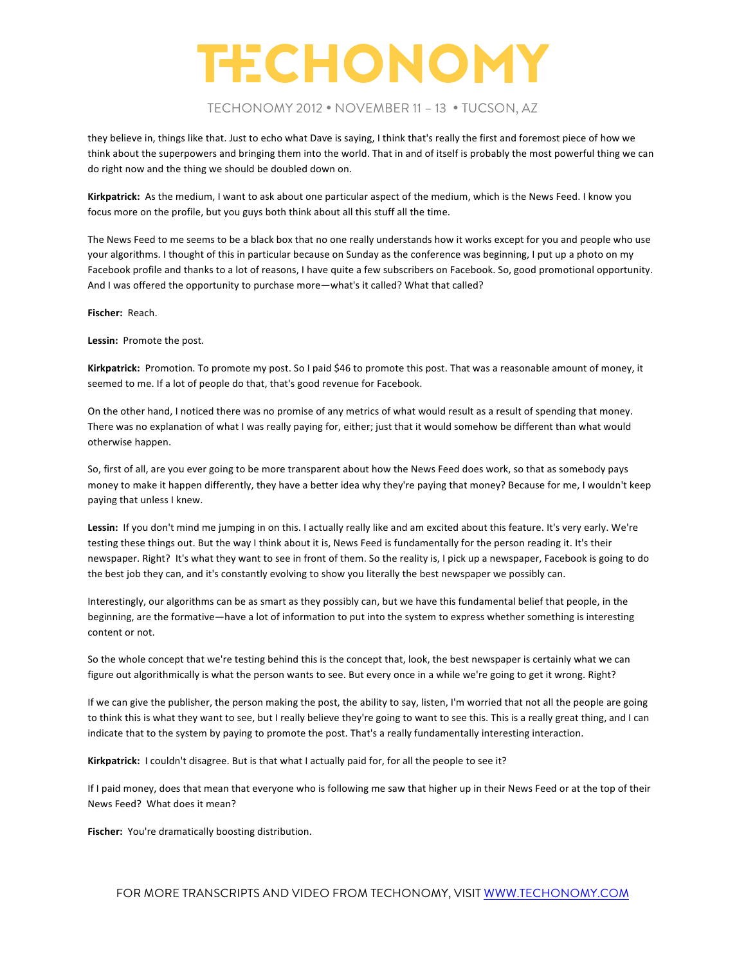### TECHONOMY 2012 • NOVEMBER 11 – 13 • TUCSON, AZ

they believe in, things like that. Just to echo what Dave is saying, I think that's really the first and foremost piece of how we think about the superpowers and bringing them into the world. That in and of itself is probably the most powerful thing we can do right now and the thing we should be doubled down on.

Kirkpatrick: As the medium, I want to ask about one particular aspect of the medium, which is the News Feed. I know you focus more on the profile, but you guys both think about all this stuff all the time.

The News Feed to me seems to be a black box that no one really understands how it works except for you and people who use your algorithms. I thought of this in particular because on Sunday as the conference was beginning, I put up a photo on my Facebook profile and thanks to a lot of reasons, I have quite a few subscribers on Facebook. So, good promotional opportunity. And I was offered the opportunity to purchase more—what's it called? What that called?

Fischer: Reach.

Lessin: Promote the post.

Kirkpatrick: Promotion. To promote my post. So I paid \$46 to promote this post. That was a reasonable amount of money, it seemed to me. If a lot of people do that, that's good revenue for Facebook.

On the other hand, I noticed there was no promise of any metrics of what would result as a result of spending that money. There was no explanation of what I was really paying for, either; just that it would somehow be different than what would otherwise happen.

So, first of all, are you ever going to be more transparent about how the News Feed does work, so that as somebody pays money to make it happen differently, they have a better idea why they're paying that money? Because for me, I wouldn't keep paying that unless I knew.

Lessin: If you don't mind me jumping in on this. I actually really like and am excited about this feature. It's very early. We're testing these things out. But the way I think about it is, News Feed is fundamentally for the person reading it. It's their newspaper. Right? It's what they want to see in front of them. So the reality is, I pick up a newspaper, Facebook is going to do the best job they can, and it's constantly evolving to show you literally the best newspaper we possibly can.

Interestingly, our algorithms can be as smart as they possibly can, but we have this fundamental belief that people, in the beginning, are the formative—have a lot of information to put into the system to express whether something is interesting content or not.

So the whole concept that we're testing behind this is the concept that, look, the best newspaper is certainly what we can figure out algorithmically is what the person wants to see. But every once in a while we're going to get it wrong. Right?

If we can give the publisher, the person making the post, the ability to say, listen, I'm worried that not all the people are going to think this is what they want to see, but I really believe they're going to want to see this. This is a really great thing, and I can indicate that to the system by paying to promote the post. That's a really fundamentally interesting interaction.

Kirkpatrick: I couldn't disagree. But is that what I actually paid for, for all the people to see it?

If I paid money, does that mean that everyone who is following me saw that higher up in their News Feed or at the top of their News Feed? What does it mean?

Fischer: You're dramatically boosting distribution.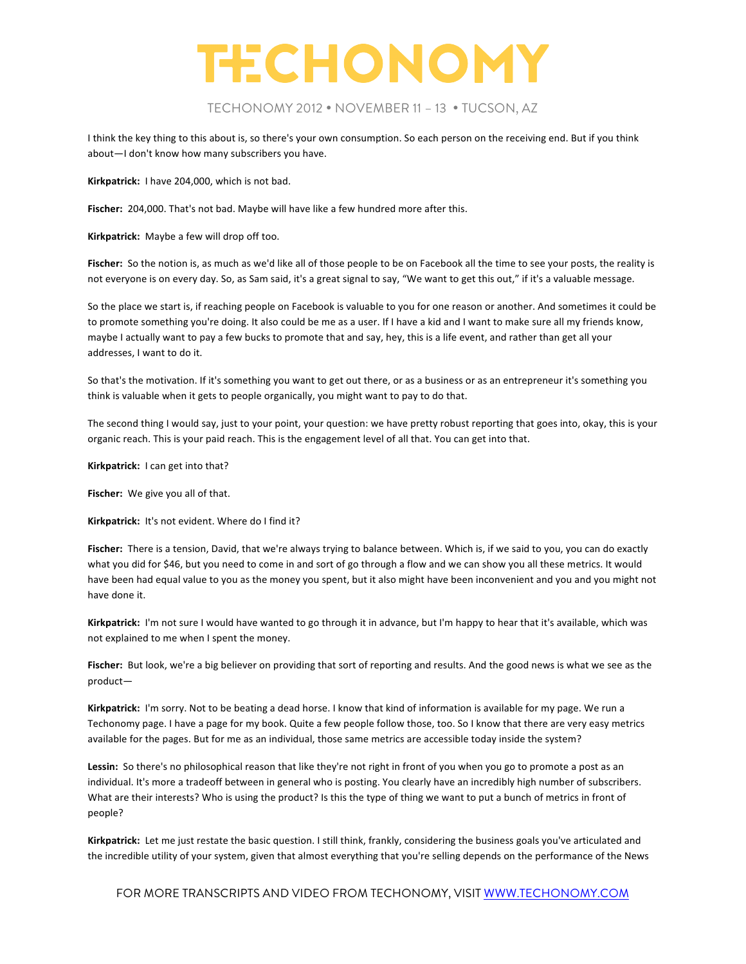

I think the key thing to this about is, so there's your own consumption. So each person on the receiving end. But if you think about-I don't know how many subscribers you have.

Kirkpatrick: I have 204,000, which is not bad.

Fischer: 204,000. That's not bad. Maybe will have like a few hundred more after this.

**Kirkpatrick:** Maybe a few will drop off too.

Fischer: So the notion is, as much as we'd like all of those people to be on Facebook all the time to see your posts, the reality is not everyone is on every day. So, as Sam said, it's a great signal to say, "We want to get this out," if it's a valuable message.

So the place we start is, if reaching people on Facebook is valuable to you for one reason or another. And sometimes it could be to promote something you're doing. It also could be me as a user. If I have a kid and I want to make sure all my friends know, maybe I actually want to pay a few bucks to promote that and say, hey, this is a life event, and rather than get all your addresses, I want to do it.

So that's the motivation. If it's something you want to get out there, or as a business or as an entrepreneur it's something you think is valuable when it gets to people organically, you might want to pay to do that.

The second thing I would say, just to your point, your question: we have pretty robust reporting that goes into, okay, this is your organic reach. This is your paid reach. This is the engagement level of all that. You can get into that.

**Kirkpatrick:** I can get into that?

Fischer: We give you all of that.

Kirkpatrick: It's not evident. Where do I find it?

Fischer: There is a tension, David, that we're always trying to balance between. Which is, if we said to you, you can do exactly what you did for \$46, but you need to come in and sort of go through a flow and we can show you all these metrics. It would have been had equal value to you as the money you spent, but it also might have been inconvenient and you and you might not have done it.

Kirkpatrick: I'm not sure I would have wanted to go through it in advance, but I'm happy to hear that it's available, which was not explained to me when I spent the money.

Fischer: But look, we're a big believer on providing that sort of reporting and results. And the good news is what we see as the product—

Kirkpatrick: I'm sorry. Not to be beating a dead horse. I know that kind of information is available for my page. We run a Techonomy page. I have a page for my book. Quite a few people follow those, too. So I know that there are very easy metrics available for the pages. But for me as an individual, those same metrics are accessible today inside the system?

**Lessin:** So there's no philosophical reason that like they're not right in front of you when you go to promote a post as an individual. It's more a tradeoff between in general who is posting. You clearly have an incredibly high number of subscribers. What are their interests? Who is using the product? Is this the type of thing we want to put a bunch of metrics in front of people?

Kirkpatrick: Let me just restate the basic question. I still think, frankly, considering the business goals you've articulated and the incredible utility of your system, given that almost everything that you're selling depends on the performance of the News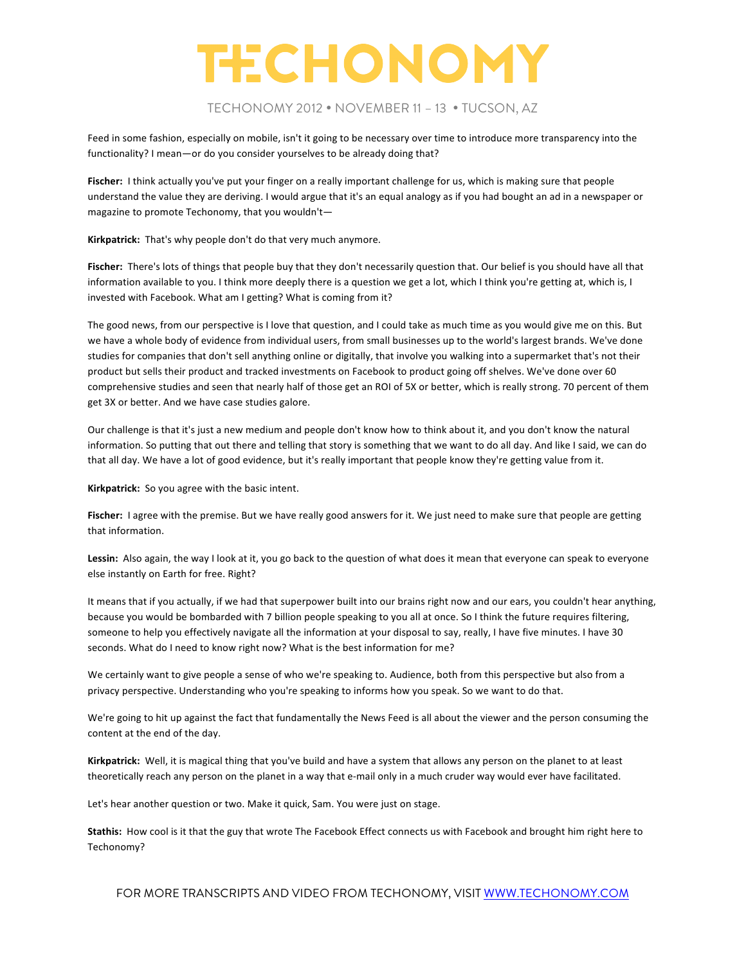### TECHONOMY 2012 • NOVEMBER 11 – 13 • TUCSON, AZ

Feed in some fashion, especially on mobile, isn't it going to be necessary over time to introduce more transparency into the functionality? I mean—or do you consider yourselves to be already doing that?

Fischer: I think actually you've put your finger on a really important challenge for us, which is making sure that people understand the value they are deriving. I would argue that it's an equal analogy as if you had bought an ad in a newspaper or magazine to promote Techonomy, that you wouldn't-

Kirkpatrick: That's why people don't do that very much anymore.

Fischer: There's lots of things that people buy that they don't necessarily question that. Our belief is you should have all that information available to you. I think more deeply there is a question we get a lot, which I think you're getting at, which is, I invested with Facebook. What am I getting? What is coming from it?

The good news, from our perspective is I love that question, and I could take as much time as you would give me on this. But we have a whole body of evidence from individual users, from small businesses up to the world's largest brands. We've done studies for companies that don't sell anything online or digitally, that involve you walking into a supermarket that's not their product but sells their product and tracked investments on Facebook to product going off shelves. We've done over 60 comprehensive studies and seen that nearly half of those get an ROI of 5X or better, which is really strong. 70 percent of them get 3X or better. And we have case studies galore.

Our challenge is that it's just a new medium and people don't know how to think about it, and you don't know the natural information. So putting that out there and telling that story is something that we want to do all day. And like I said, we can do that all day. We have a lot of good evidence, but it's really important that people know they're getting value from it.

**Kirkpatrick:** So you agree with the basic intent.

Fischer: I agree with the premise. But we have really good answers for it. We just need to make sure that people are getting that information.

Lessin: Also again, the way I look at it, you go back to the question of what does it mean that everyone can speak to everyone else instantly on Earth for free. Right?

It means that if you actually, if we had that superpower built into our brains right now and our ears, you couldn't hear anything, because you would be bombarded with 7 billion people speaking to you all at once. So I think the future requires filtering, someone to help you effectively navigate all the information at your disposal to say, really, I have five minutes. I have 30 seconds. What do I need to know right now? What is the best information for me?

We certainly want to give people a sense of who we're speaking to. Audience, both from this perspective but also from a privacy perspective. Understanding who you're speaking to informs how you speak. So we want to do that.

We're going to hit up against the fact that fundamentally the News Feed is all about the viewer and the person consuming the content at the end of the day.

Kirkpatrick: Well, it is magical thing that you've build and have a system that allows any person on the planet to at least theoretically reach any person on the planet in a way that e-mail only in a much cruder way would ever have facilitated.

Let's hear another question or two. Make it quick, Sam. You were just on stage.

**Stathis:** How cool is it that the guy that wrote The Facebook Effect connects us with Facebook and brought him right here to Techonomy?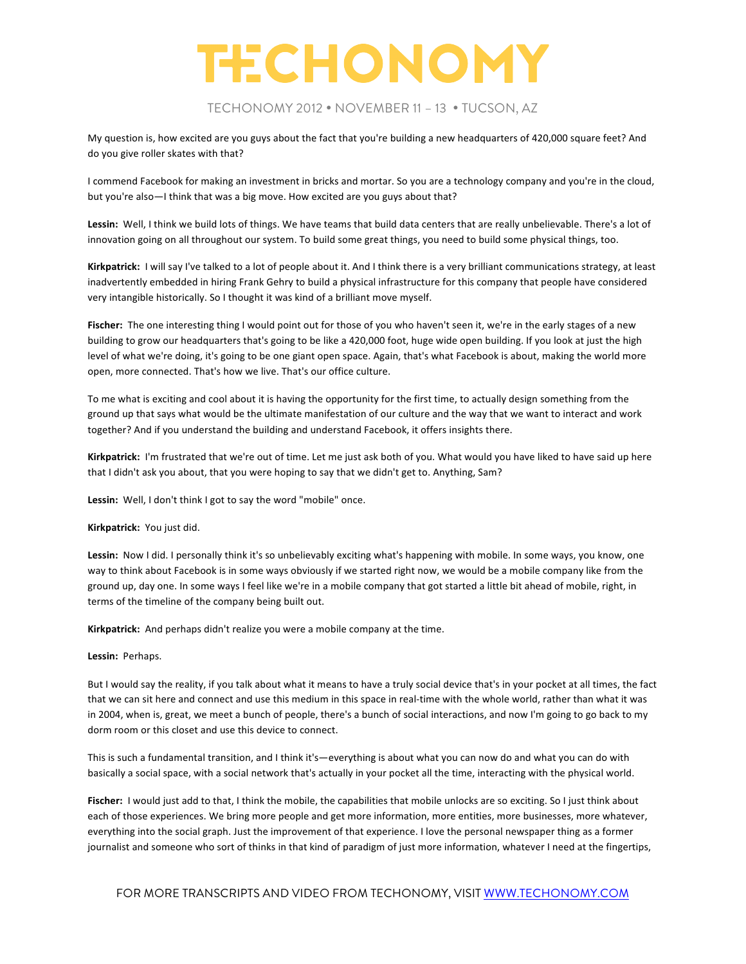## TECHONOMY 2012 • NOVEMBER 11 – 13 • TUCSON, AZ

My question is, how excited are you guys about the fact that you're building a new headquarters of 420,000 square feet? And do you give roller skates with that?

I commend Facebook for making an investment in bricks and mortar. So you are a technology company and you're in the cloud, but you're also—I think that was a big move. How excited are you guys about that?

Lessin: Well, I think we build lots of things. We have teams that build data centers that are really unbelievable. There's a lot of innovation going on all throughout our system. To build some great things, you need to build some physical things, too.

**Kirkpatrick:** I will say I've talked to a lot of people about it. And I think there is a very brilliant communications strategy, at least inadvertently embedded in hiring Frank Gehry to build a physical infrastructure for this company that people have considered very intangible historically. So I thought it was kind of a brilliant move myself.

**Fischer:** The one interesting thing I would point out for those of you who haven't seen it, we're in the early stages of a new building to grow our headquarters that's going to be like a 420,000 foot, huge wide open building. If you look at just the high level of what we're doing, it's going to be one giant open space. Again, that's what Facebook is about, making the world more open, more connected. That's how we live. That's our office culture.

To me what is exciting and cool about it is having the opportunity for the first time, to actually design something from the ground up that says what would be the ultimate manifestation of our culture and the way that we want to interact and work together? And if you understand the building and understand Facebook, it offers insights there.

Kirkpatrick: I'm frustrated that we're out of time. Let me just ask both of you. What would you have liked to have said up here that I didn't ask you about, that you were hoping to say that we didn't get to. Anything, Sam?

Lessin: Well, I don't think I got to say the word "mobile" once.

#### **Kirkpatrick:** You just did.

Lessin: Now I did. I personally think it's so unbelievably exciting what's happening with mobile. In some ways, you know, one way to think about Facebook is in some ways obviously if we started right now, we would be a mobile company like from the ground up, day one. In some ways I feel like we're in a mobile company that got started a little bit ahead of mobile, right, in terms of the timeline of the company being built out.

Kirkpatrick: And perhaps didn't realize you were a mobile company at the time.

#### Lessin: Perhaps.

But I would say the reality, if you talk about what it means to have a truly social device that's in your pocket at all times, the fact that we can sit here and connect and use this medium in this space in real-time with the whole world, rather than what it was in 2004, when is, great, we meet a bunch of people, there's a bunch of social interactions, and now I'm going to go back to my dorm room or this closet and use this device to connect.

This is such a fundamental transition, and I think it's—everything is about what you can now do and what you can do with basically a social space, with a social network that's actually in your pocket all the time, interacting with the physical world.

**Fischer:** I would just add to that, I think the mobile, the capabilities that mobile unlocks are so exciting. So I just think about each of those experiences. We bring more people and get more information, more entities, more businesses, more whatever, everything into the social graph. Just the improvement of that experience. I love the personal newspaper thing as a former journalist and someone who sort of thinks in that kind of paradigm of just more information, whatever I need at the fingertips,